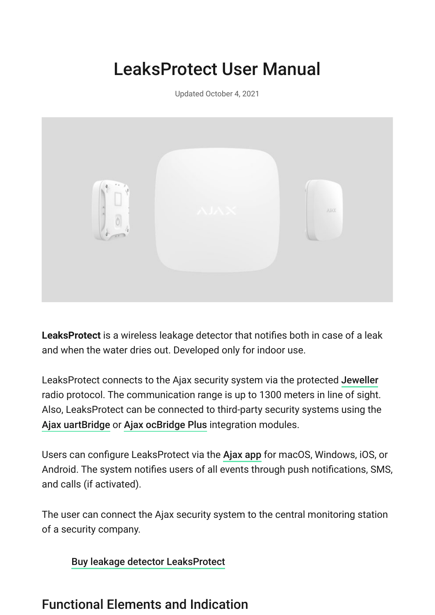# LeaksProtect User Manual

Updated October 4, 2021



**LeaksProtect** is a wireless leakage detector that notifies both in case of a leak and when the water dries out. Developed only for indoor use.

LeaksProtect connects to the Ajax security system via the protected [Jeweller](https://ajax.systems/jeweller/) radio protocol. The communication range is up to 1300 meters in line of sight. Also, LeaksProtect can be connected to third-party security systems using the [Ajax uartBridge](https://ajax.systems/products/uartbridge/) or Ajax ocBridge Plus integration modules.

Userscan configure LeaksProtect via the Ajax app for macOS, Windows, iOS, or Android. The system notifies users of all events through push notifications, SMS, and calls (if activated).

The user can connect the Ajax security system to the central monitoring station of a security company.

[Buy leakage detector LeaksProtect](https://ajax.systems/products/leaksprotect/)

### Functional Elements and Indication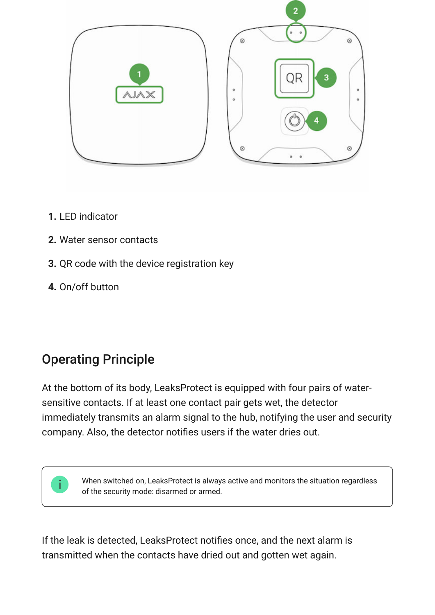

- **1.** LED indicator
- **2.** Water sensor contacts
- **3.** QR code with the device registration key
- **4.** On/off button

# Operating Principle

At the bottom of its body, LeaksProtect is equipped with four pairs of watersensitive contacts. If at least one contact pair gets wet, the detector immediately transmits an alarm signal to the hub, notifying the user and security company. Also, the detector notifies users if the water dries out.

When switched on, LeaksProtect is always active and monitors the situation regardless of the security mode: disarmed or armed.

If the leak is detected, LeaksProtect notifies once, and the next alarm is transmitted when the contacts have dried out and gotten wet again.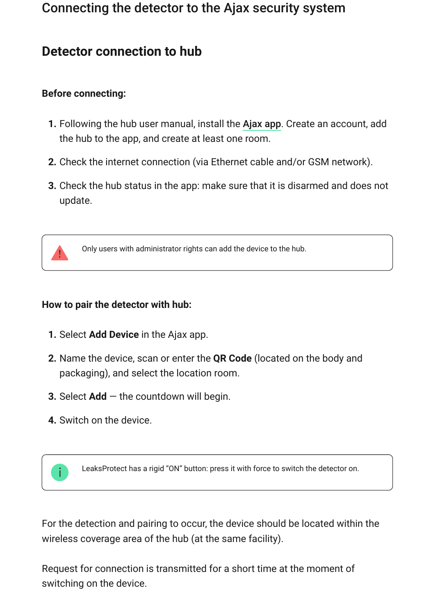### Connecting the detector to the Ajax security system

### **Detector connection to hub**

#### **Before connecting:**

- **1.** Following the hub user manual, install the Ajax app. Create an account, add the hub to the app, and create at least one room.
- **2.** Check the internet connection (via Ethernet cable and/or GSM network).
- **3.** Check the hub status in the app: make sure that it is disarmed and does not update.

![](_page_2_Picture_6.jpeg)

Only users with administrator rights can add the device to the hub.

#### **How to pair the detector with hub:**

- **1.** Select **Add Device** in the Ajax app.
- **2.** Name the device, scan or enter the **QR Code** (located on the body and packaging), and select the location room.
- **3.** Select **Add**  the countdown will begin.
- **4.** Switch on the device.

![](_page_2_Picture_13.jpeg)

LeaksProtect has a rigid "ON" button: press it with force to switch the detector on.

For the detection and pairing to occur, the device should be located within the wireless coverage area of the hub (at the same facility).

Request for connection is transmitted for a short time at the moment of switching on the device.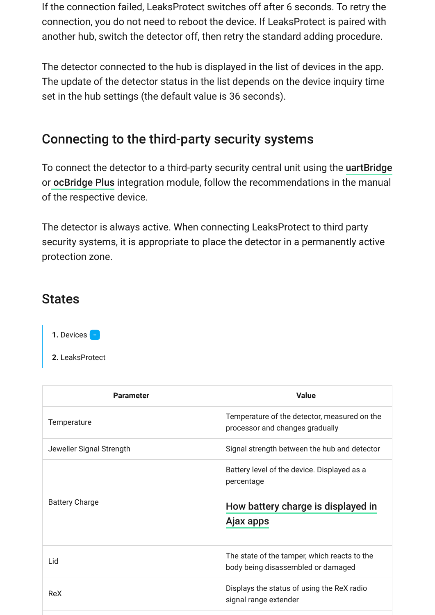If the connection failed, LeaksProtect switches off after 6 seconds. To retry the connection, you do not need to reboot the device. If LeaksProtect is paired with another hub, switch the detector off, then retry the standard adding procedure.

The detector connected to the hub is displayed in the list of devices in the app. The update of the detector status in the list depends on the device inquiry time set in the hub settings (the default value is 36 seconds).

### Connecting to the third-party security systems

To connect the detector to a third-party security central unit using the [uartBridge](https://ajax.systems/products/uartbridge/) orocBridge Plus integration module, follow the recommendations in the manual of the respective device.

The detector is always active. When connecting LeaksProtect to third party security systems, it is appropriate to place the detector in a permanently active protection zone.

#### **States**

- **1.** Devices
- **2.** LeaksProtect

| <b>Parameter</b>         | <b>Value</b>                                                                                                 |
|--------------------------|--------------------------------------------------------------------------------------------------------------|
| Temperature              | Temperature of the detector, measured on the<br>processor and changes gradually                              |
| Jeweller Signal Strength | Signal strength between the hub and detector                                                                 |
| <b>Battery Charge</b>    | Battery level of the device. Displayed as a<br>percentage<br>How battery charge is displayed in<br>Ajax apps |
| Lid                      | The state of the tamper, which reacts to the<br>body being disassembled or damaged                           |
| <b>ReX</b>               | Displays the status of using the ReX radio<br>signal range extender                                          |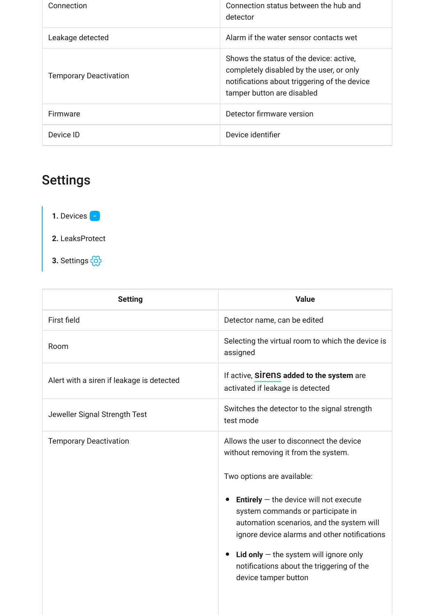| Connection                    | Connection status between the hub and<br>detector                                                                                                                 |
|-------------------------------|-------------------------------------------------------------------------------------------------------------------------------------------------------------------|
| Leakage detected              | Alarm if the water sensor contacts wet                                                                                                                            |
| <b>Temporary Deactivation</b> | Shows the status of the device: active.<br>completely disabled by the user, or only<br>notifications about triggering of the device<br>tamper button are disabled |
| <b>Firmware</b>               | Detector firmware version                                                                                                                                         |
| Device ID                     | Device identifier                                                                                                                                                 |

# Settings

**1.** Devices

- **2.** LeaksProtect
- **3.** Settings

| <b>Setting</b>                            | <b>Value</b>                                                                                                                                                                      |
|-------------------------------------------|-----------------------------------------------------------------------------------------------------------------------------------------------------------------------------------|
| First field                               | Detector name, can be edited                                                                                                                                                      |
| Room                                      | Selecting the virtual room to which the device is<br>assigned                                                                                                                     |
| Alert with a siren if leakage is detected | If active, SITENS added to the system are<br>activated if leakage is detected                                                                                                     |
| Jeweller Signal Strength Test             | Switches the detector to the signal strength<br>test mode                                                                                                                         |
| <b>Temporary Deactivation</b>             | Allows the user to disconnect the device<br>without removing it from the system.                                                                                                  |
|                                           | Two options are available:                                                                                                                                                        |
|                                           | <b>Entirely</b> $-$ the device will not execute<br>system commands or participate in<br>automation scenarios, and the system will<br>ignore device alarms and other notifications |
|                                           | Lid only $-$ the system will ignore only<br>$\bullet$<br>notifications about the triggering of the<br>device tamper button                                                        |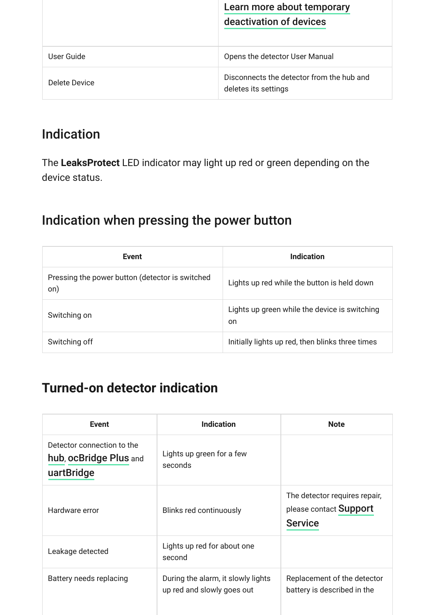|               | Learn more about temporary                                        |
|---------------|-------------------------------------------------------------------|
|               | deactivation of devices                                           |
|               |                                                                   |
| User Guide    | Opens the detector User Manual                                    |
| Delete Device | Disconnects the detector from the hub and<br>deletes its settings |

### Indication

The **LeaksProtect** LED indicator may light up red or green depending on the device status.

### Indication when pressing the power button

| Event                                                  | Indication                                                     |
|--------------------------------------------------------|----------------------------------------------------------------|
| Pressing the power button (detector is switched<br>on) | Lights up red while the button is held down                    |
| Switching on                                           | Lights up green while the device is switching<br><sub>on</sub> |
| Switching off                                          | Initially lights up red, then blinks three times               |

### **Turned-on detector indication**

| <b>Event</b>                                                       | <b>Indication</b>                                                | <b>Note</b>                                                               |
|--------------------------------------------------------------------|------------------------------------------------------------------|---------------------------------------------------------------------------|
| Detector connection to the<br>hub, ocBridge Plus and<br>uartBridge | Lights up green for a few<br>seconds                             |                                                                           |
| Hardware error                                                     | Blinks red continuously                                          | The detector requires repair,<br>please contact Support<br><b>Service</b> |
| Leakage detected                                                   | Lights up red for about one<br>second                            |                                                                           |
| Battery needs replacing                                            | During the alarm, it slowly lights<br>up red and slowly goes out | Replacement of the detector<br>battery is described in the                |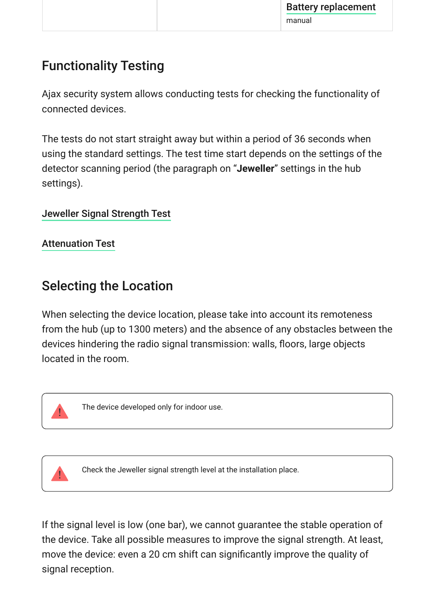## Functionality Testing

Ajax security system allows conducting tests for checking the functionality of connected devices.

The tests do not start straight away but within a period of 36 seconds when using the standard settings. The test time start depends on the settings of the detector scanning period (the paragraph on "**Jeweller**" settings in the hub settings).

[Jeweller Signal Strength Test](https://support.ajax.systems/en/what-is-signal-strenght-test/)

[Attenuation Test](https://support.ajax.systems/en/what-is-attenuation-test/)

### Selecting the Location

When selecting the device location, please take into account its remoteness from the hub (up to 1300 meters) and the absence of any obstacles between the devices hindering the radio signal transmission: walls, floors, large objects located in the room.

![](_page_6_Picture_8.jpeg)

The device developed only for indoor use.

![](_page_6_Picture_10.jpeg)

Check the Jeweller signal strength level at the installation place.

If the signal level is low (one bar), we cannot guarantee the stable operation of the device. Take all possible measures to improve the signal strength. At least, move the device: even a 20 cm shift can significantly improve the quality of signal reception.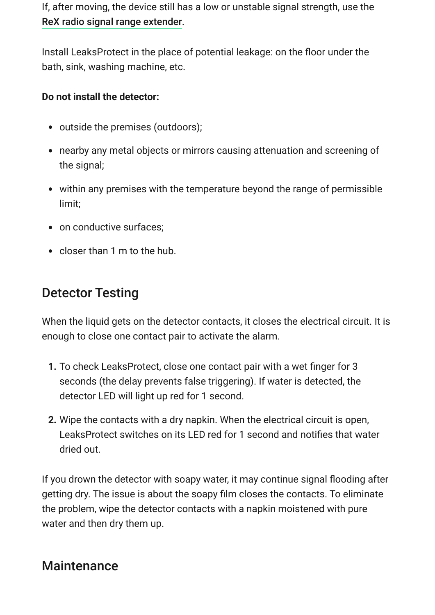If, after moving, the device still has a low or unstable signal strength, use the . [ReX radio signal range extender](https://ajax.systems/products/rex/)

Install LeaksProtect in the place of potential leakage: on the floor under the bath, sink, washing machine, etc.

#### **Do not install the detector:**

- outside the premises (outdoors);
- nearby any metal objects or mirrors causing attenuation and screening of the signal;
- within any premises with the temperature beyond the range of permissible limit;
- on conductive surfaces:
- closer than 1 m to the hub.

### Detector Testing

When the liquid gets on the detector contacts, it closes the electrical circuit. It is enough to close one contact pair to activate the alarm.

- **1.** To check LeaksProtect, close one contact pair with a wet finger for 3 seconds (the delay prevents false triggering). If water is detected, the detector LED will light up red for 1 second.
- **2.** Wipe the contacts with a dry napkin. When the electrical circuit is open, LeaksProtect switches on its LED red for 1 second and notifies that water dried out.

If you drown the detector with soapy water, it may continue signal flooding after getting dry. The issue is about the soapy film closes the contacts. To eliminate the problem, wipe the detector contacts with a napkin moistened with pure water and then dry them up.

### **Maintenance**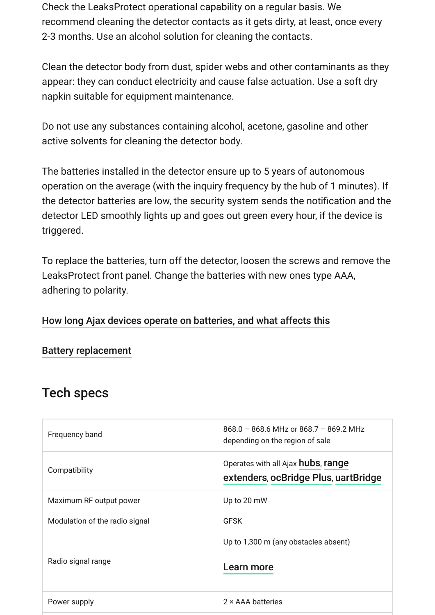Check the LeaksProtect operational capability on a regular basis. We recommend cleaning the detector contacts as it gets dirty, at least, once every 2-3 months. Use an alcohol solution for cleaning the contacts.

Clean the detector body from dust, spider webs and other contaminants as they appear: they can conduct electricity and cause false actuation. Use a soft dry napkin suitable for equipment maintenance.

Do not use any substances containing alcohol, acetone, gasoline and other active solvents for cleaning the detector body.

The batteries installed in the detector ensure up to 5 years of autonomous operation on the average (with the inquiry frequency by the hub of 1 minutes). If the detector batteries are low, the security system sends the notification and the detector LED smoothly lights up and goes out green every hour, if the device is triggered.

To replace the batteries, turn off the detector, loosen the screws and remove the LeaksProtect front panel. Change the batteries with new ones type AAA, adhering to polarity.

#### [How long Ajax devices operate on batteries, and what affects this](https://support.ajax.systems/en/how-long-operate-from-batteries/)

#### [Battery replacement](https://support.ajax.systems/en/how-to-replace-batteries-in-leaksprotect/)

#### Tech specs

| Frequency band                 | $868.0 - 868.6$ MHz or $868.7 - 869.2$ MHz<br>depending on the region of sale      |
|--------------------------------|------------------------------------------------------------------------------------|
| Compatibility                  | Operates with all Ajax <b>hubs</b> , range<br>extenders, ocBridge Plus, uartBridge |
| Maximum RF output power        | Up to 20 mW                                                                        |
| Modulation of the radio signal | <b>GFSK</b>                                                                        |
| Radio signal range             | Up to 1,300 m (any obstacles absent)<br>Learn more                                 |
| Power supply                   | 2 × AAA batteries                                                                  |